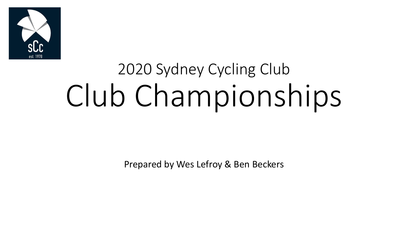

# 2020 Sydney Cycling Club Club Championships

Prepared by Wes Lefroy & Ben Beckers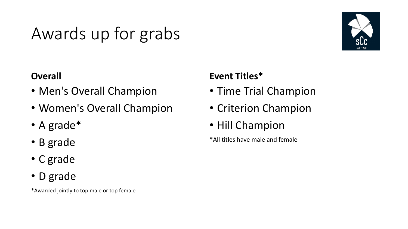## Awards up for grabs



#### **Overall**

- Men's Overall Champion
- Women's Overall Champion
- A grade\*
- B grade
- C grade
- D grade

\*Awarded jointly to top male or top female

#### **Event Titles\***

- Time Trial Champion
- Criterion Champion
- Hill Champion

\*All titles have male and female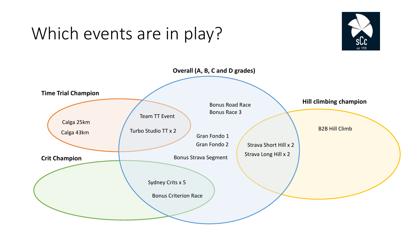### Which events are in play?



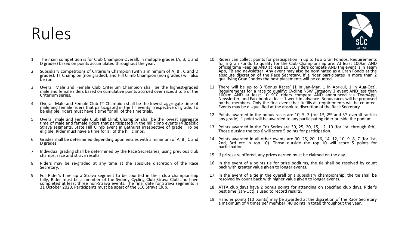#### Rules



- 1. The main competition is for Club Champion Overall, in multiple grades (A, B, C and D grades) based on points accumulated throughout the year.
- 2. Subsidiary competitions of Criterium Champion (with a minimum of A, B , C and D grades), TT Champion (non graded), and Hill Climb Champion (non graded) will also be run.
- 3. Overall Male and Female Club Criterium Champion shall be the highest-graded male and female riders based on cumulative points accrued over races <sup>3</sup> to <sup>5</sup> of the Criterium series.
- 4. Overall Male and Female Club TT Champion shall be the lowest aggregate time of male and female riders that participated in the TT events irrespective of grade. To be eligible, riders must have a time for all of the time trials.
- 5. Overall male and Female Club Hill Climb Champion shall be the lowest aggregate time of male and female riders that participated in the hill climb events (4 specific Strava segments, State Hill Climb event in Bathurst irrespective of grade. To be eligible, Rider must have a time for all of the hill climbs.
- 6. Grades shall be determined depending upon entries with a minimum of A, B , C and D grades.
- 7. Individual grading shall be determined by the Race Secretaries, using previous club champs, race and strava results.
- 8. Riders may be re-graded at any time at the absolute discretion of the Race Secretary.
- 9. For Rider's time up a Strava segment to be counted in their club championship tally, Rider must be a member of the Sydney Cycling Club Strava Club and have completed at least three non-Strava events. The final date for Strava segments is 31 October 2020. Participants must be apart of the SCC Strava Club.
- 10. Riders can collect points for participation in up to two Gran Fondos. Requirements for <sup>a</sup> Gran Fondo to qualify for the Club Championship are: At least 100km AND official time keeping AND at least 10 SCC riders compete AND the event is in Team App, FB and newsletter. Any event may also be nominated as a Gran Fondo at the absolute discretion of the Race Secretary. If a rider participates in more than 2 qualifying Gran Fondos the best placements will be counted.
- 11. There will be up to 3 'Bonus Races' (1 in Jan-Mar, 1 in Apr-Jul, 1 in Aug-Oct).<br>Requirements for a race to qualify: Cycling NSW Category 3 event AND less than<br>100km AND at least 10 SCC riders compete AND announced via Newsletter, and Facebook at least 1 week in advance. Bonus races will be proposed<br>by the members. Only the first event that fulfills all requirements will be counted.<br>Events may be disqualified at the absolute discretion o
- 12. Points awarded in the bonus races are 10, 5, 3 (for  $1<sup>st</sup>$ ,  $2<sup>nd</sup>$  and  $3<sup>rd</sup>$  overall rank in any grade). 1 point will be awarded to any participating rider outside the podium.
- 13. Points awarded in the Crit Series are 30, 25, 20, 15, 12, <sup>10</sup> (for 1st, through 6th). Those outside the top <sup>6</sup> will score <sup>5</sup> points for participation.
- 14. Points awarded in all other events are 30, 25, 20, 16, 14, 12, 10, 9, 8, 7 (for 1st, 2nd, 3rd etc in top 10). Those outside the top 10 will score 5 points for participation.
- 15. If prizes are offered, any prizes earned must be claimed on the day.
- 16. In the event of a points tie for prize podiums, the tie shall be resolved by count back with greater value given to longer events.
- 17. In the event of a tie in the overall or a subsidiary championship, the tie shall be resolved by count back with higher value given to longer events.
- 18. ATTA club days have 2 bonus points for attending on specified club days. Rider's best time (Jan-Oct) is used to record results.
- 19. Handler points (10 points) may be awarded at the discretion of the Race Secretary a maximum of 4 times per member (40 points in total) throughout the year.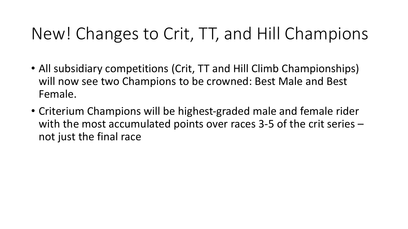### New! Changes to Crit, TT, and Hill Champions

- All subsidiary competitions (Crit, TT and Hill Climb Championships) will now see two Champions to be crowned: Best Male and Best Female.
- Criterium Champions will be highest-graded male and female rider with the most accumulated points over races 3-5 of the crit series  $$ not just the final race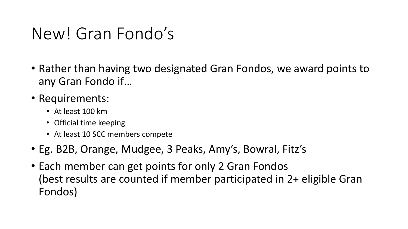#### New! Gran Fondo's

- Rather than having two designated Gran Fondos, we award points to any Gran Fondo if...
- Requirements:
	- At least 100 km
	- Official time keeping
	- At least 10 SCC members compete
- Eg. B2B, Orange, Mudgee, 3 Peaks, Amy's, Bowral, Fitz's
- Each member can get points for only 2 Gran Fondos (best results are counted if member participated in 2+ eligible Gran Fondos)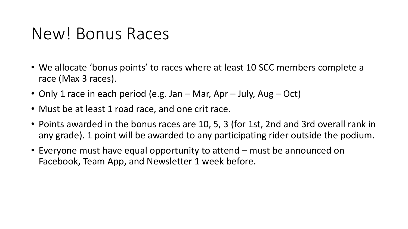#### New! Bonus Races

- We allocate 'bonus points' to races where at least 10 SCC members complete a race (Max 3 races).
- Only 1 race in each period (e.g. Jan Mar, Apr July, Aug Oct)
- Must be at least 1 road race, and one crit race.
- Points awarded in the bonus races are 10, 5, 3 (for 1st, 2nd and 3rd overall rank in any grade). 1 point will be awarded to any participating rider outside the podium.
- Everyone must have equal opportunity to attend must be announced on Facebook, Team App, and Newsletter 1 week before.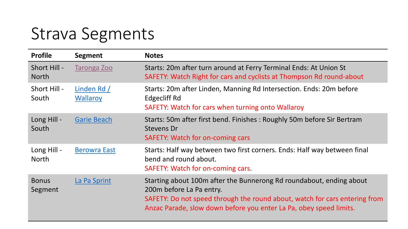## Strava Segments

| <b>Profile</b>               | <b>Segment</b>                 | <b>Notes</b>                                                                                                                                                                                                                                        |  |
|------------------------------|--------------------------------|-----------------------------------------------------------------------------------------------------------------------------------------------------------------------------------------------------------------------------------------------------|--|
| Short Hill -<br><b>North</b> | <b>Taronga Zoo</b>             | Starts: 20m after turn around at Ferry Terminal Ends: At Union St<br>SAFETY: Watch Right for cars and cyclists at Thompson Rd round-about                                                                                                           |  |
| Short Hill -<br>South        | Linden Rd /<br><b>Wallaroy</b> | Starts: 20m after Linden, Manning Rd Intersection. Ends: 20m before<br>Edgecliff Rd<br>SAFETY: Watch for cars when turning onto Wallaroy                                                                                                            |  |
| Long Hill -<br>South         | <b>Garie Beach</b>             | Starts: 50m after first bend. Finishes: Roughly 50m before Sir Bertram<br><b>Stevens Dr</b><br>SAFETY: Watch for on-coming cars                                                                                                                     |  |
| Long Hill -<br><b>North</b>  | <b>Berowra East</b>            | Starts: Half way between two first corners. Ends: Half way between final<br>bend and round about.<br>SAFETY: Watch for on-coming cars.                                                                                                              |  |
| <b>Bonus</b><br>Segment      | La Pa Sprint                   | Starting about 100m after the Bunnerong Rd roundabout, ending about<br>200 mbefore La Pa entry.<br>SAFETY: Do not speed through the round about, watch for cars entering from<br>Anzac Parade, slow down before you enter La Pa, obey speed limits. |  |